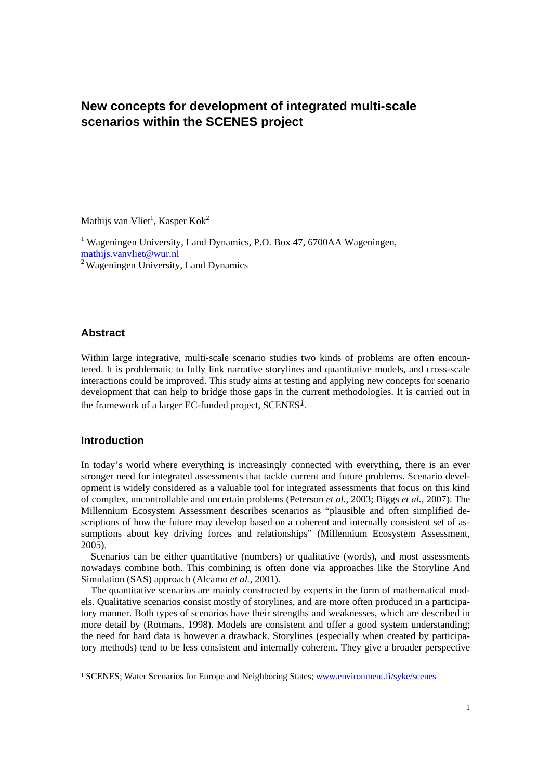# **New concepts for development of integrated multi-scale scenarios within the SCENES project**

Mathijs van Vliet<sup>1</sup>, Kasper Kok<sup>2</sup>

<sup>1</sup> Wageningen University, Land Dynamics, P.O. Box 47, 6700AA Wageningen, mathijs.vanvliet@wur.nl <sup>2</sup> Wageningen University, Land Dynamics

## **Abstract**

Within large integrative, multi-scale scenario studies two kinds of problems are often encountered. It is problematic to fully link narrative storylines and quantitative models, and cross-scale interactions could be improved. This study aims at testing and applying new concepts for scenario development that can help to bridge those gaps in the current methodologies. It is carried out in the framework of a larger EC-funded project, SCENES*1*.

# **Introduction**

 $\overline{a}$ 

In today's world where everything is increasingly connected with everything, there is an ever stronger need for integrated assessments that tackle current and future problems. Scenario development is widely considered as a valuable tool for integrated assessments that focus on this kind of complex, uncontrollable and uncertain problems (Peterson *et al.*, 2003; Biggs *et al.*, 2007). The Millennium Ecosystem Assessment describes scenarios as "plausible and often simplified descriptions of how the future may develop based on a coherent and internally consistent set of assumptions about key driving forces and relationships" (Millennium Ecosystem Assessment, 2005).

Scenarios can be either quantitative (numbers) or qualitative (words), and most assessments nowadays combine both. This combining is often done via approaches like the Storyline And Simulation (SAS) approach (Alcamo *et al.*, 2001).

The quantitative scenarios are mainly constructed by experts in the form of mathematical models. Qualitative scenarios consist mostly of storylines, and are more often produced in a participatory manner. Both types of scenarios have their strengths and weaknesses, which are described in more detail by (Rotmans, 1998). Models are consistent and offer a good system understanding; the need for hard data is however a drawback. Storylines (especially when created by participatory methods) tend to be less consistent and internally coherent. They give a broader perspective

<sup>&</sup>lt;sup>1</sup> SCENES; Water Scenarios for Europe and Neighboring States; www.environment.fi/syke/scenes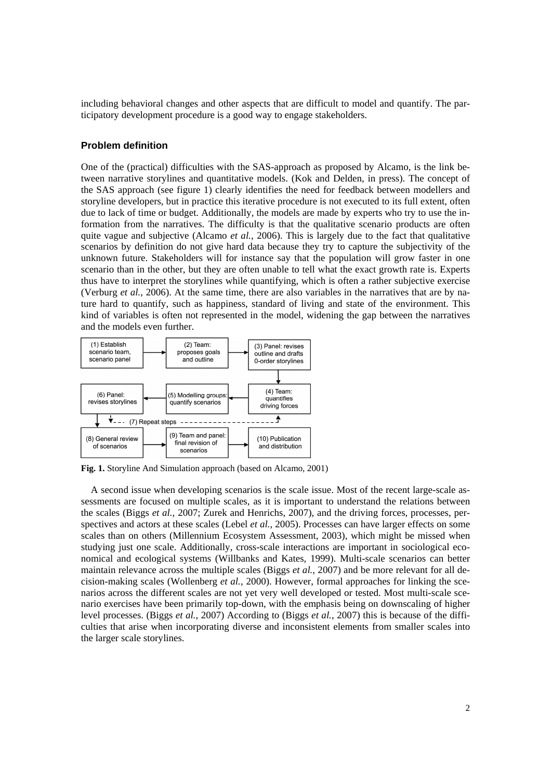including behavioral changes and other aspects that are difficult to model and quantify. The participatory development procedure is a good way to engage stakeholders.

#### **Problem definition**

One of the (practical) difficulties with the SAS-approach as proposed by Alcamo, is the link between narrative storylines and quantitative models. (Kok and Delden, in press). The concept of the SAS approach (see figure 1) clearly identifies the need for feedback between modellers and storyline developers, but in practice this iterative procedure is not executed to its full extent, often due to lack of time or budget. Additionally, the models are made by experts who try to use the information from the narratives. The difficulty is that the qualitative scenario products are often quite vague and subjective (Alcamo *et al.*, 2006). This is largely due to the fact that qualitative scenarios by definition do not give hard data because they try to capture the subjectivity of the unknown future. Stakeholders will for instance say that the population will grow faster in one scenario than in the other, but they are often unable to tell what the exact growth rate is. Experts thus have to interpret the storylines while quantifying, which is often a rather subjective exercise (Verburg *et al.*, 2006). At the same time, there are also variables in the narratives that are by nature hard to quantify, such as happiness, standard of living and state of the environment. This kind of variables is often not represented in the model, widening the gap between the narratives and the models even further.



**Fig. 1.** Storyline And Simulation approach (based on Alcamo, 2001)

A second issue when developing scenarios is the scale issue. Most of the recent large-scale assessments are focused on multiple scales, as it is important to understand the relations between the scales (Biggs *et al.*, 2007; Zurek and Henrichs, 2007), and the driving forces, processes, perspectives and actors at these scales (Lebel *et al.*, 2005). Processes can have larger effects on some scales than on others (Millennium Ecosystem Assessment, 2003), which might be missed when studying just one scale. Additionally, cross-scale interactions are important in sociological economical and ecological systems (Willbanks and Kates, 1999). Multi-scale scenarios can better maintain relevance across the multiple scales (Biggs *et al.*, 2007) and be more relevant for all decision-making scales (Wollenberg *et al.*, 2000). However, formal approaches for linking the scenarios across the different scales are not yet very well developed or tested. Most multi-scale scenario exercises have been primarily top-down, with the emphasis being on downscaling of higher level processes. (Biggs *et al.*, 2007) According to (Biggs *et al.*, 2007) this is because of the difficulties that arise when incorporating diverse and inconsistent elements from smaller scales into the larger scale storylines.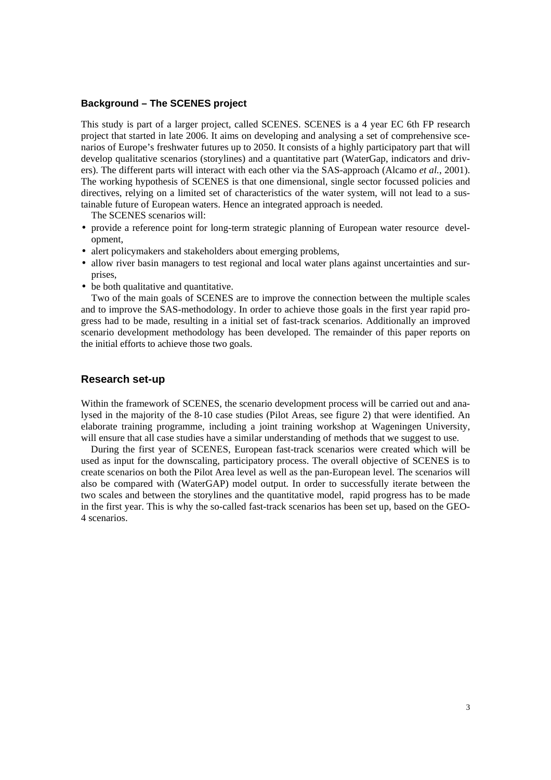#### **Background – The SCENES project**

This study is part of a larger project, called SCENES. SCENES is a 4 year EC 6th FP research project that started in late 2006. It aims on developing and analysing a set of comprehensive scenarios of Europe's freshwater futures up to 2050. It consists of a highly participatory part that will develop qualitative scenarios (storylines) and a quantitative part (WaterGap, indicators and drivers). The different parts will interact with each other via the SAS-approach (Alcamo *et al.*, 2001). The working hypothesis of SCENES is that one dimensional, single sector focussed policies and directives, relying on a limited set of characteristics of the water system, will not lead to a sustainable future of European waters. Hence an integrated approach is needed.

The SCENES scenarios will:

- provide a reference point for long-term strategic planning of European water resource development,
- alert policymakers and stakeholders about emerging problems,
- allow river basin managers to test regional and local water plans against uncertainties and surprises,
- be both qualitative and quantitative.

Two of the main goals of SCENES are to improve the connection between the multiple scales and to improve the SAS-methodology. In order to achieve those goals in the first year rapid progress had to be made, resulting in a initial set of fast-track scenarios. Additionally an improved scenario development methodology has been developed. The remainder of this paper reports on the initial efforts to achieve those two goals.

#### **Research set-up**

Within the framework of SCENES, the scenario development process will be carried out and analysed in the majority of the 8-10 case studies (Pilot Areas, see figure 2) that were identified. An elaborate training programme, including a joint training workshop at Wageningen University, will ensure that all case studies have a similar understanding of methods that we suggest to use.

During the first year of SCENES, European fast-track scenarios were created which will be used as input for the downscaling, participatory process. The overall objective of SCENES is to create scenarios on both the Pilot Area level as well as the pan-European level. The scenarios will also be compared with (WaterGAP) model output. In order to successfully iterate between the two scales and between the storylines and the quantitative model, rapid progress has to be made in the first year. This is why the so-called fast-track scenarios has been set up, based on the GEO-4 scenarios.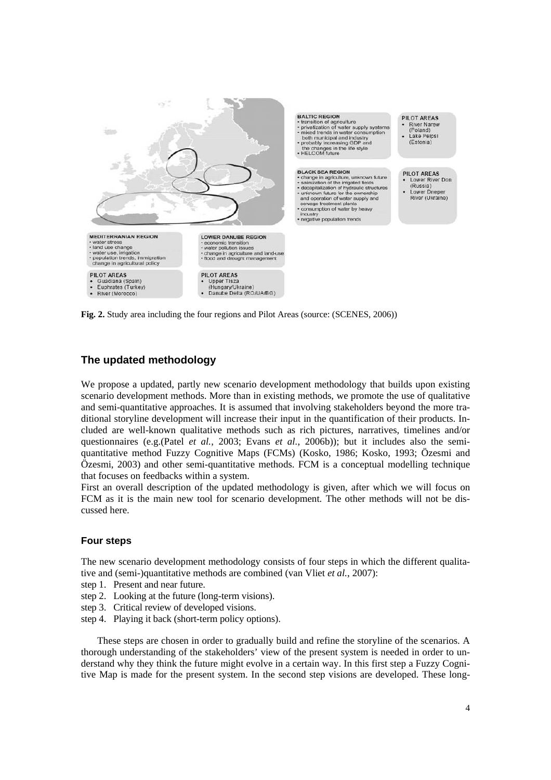

**Fig. 2.** Study area including the four regions and Pilot Areas (source: (SCENES, 2006))

## **The updated methodology**

We propose a updated, partly new scenario development methodology that builds upon existing scenario development methods. More than in existing methods, we promote the use of qualitative and semi-quantitative approaches. It is assumed that involving stakeholders beyond the more traditional storyline development will increase their input in the quantification of their products. Included are well-known qualitative methods such as rich pictures, narratives, timelines and/or questionnaires (e.g.(Patel *et al.*, 2003; Evans *et al.*, 2006b)); but it includes also the semiquantitative method Fuzzy Cognitive Maps (FCMs) (Kosko, 1986; Kosko, 1993; Özesmi and Özesmi, 2003) and other semi-quantitative methods. FCM is a conceptual modelling technique that focuses on feedbacks within a system.

First an overall description of the updated methodology is given, after which we will focus on FCM as it is the main new tool for scenario development. The other methods will not be discussed here.

## **Four steps**

The new scenario development methodology consists of four steps in which the different qualitative and (semi-)quantitative methods are combined (van Vliet *et al.*, 2007):

- step 1. Present and near future.
- step 2. Looking at the future (long-term visions).
- step 3. Critical review of developed visions.
- step 4. Playing it back (short-term policy options).

These steps are chosen in order to gradually build and refine the storyline of the scenarios. A thorough understanding of the stakeholders' view of the present system is needed in order to understand why they think the future might evolve in a certain way. In this first step a Fuzzy Cognitive Map is made for the present system. In the second step visions are developed. These long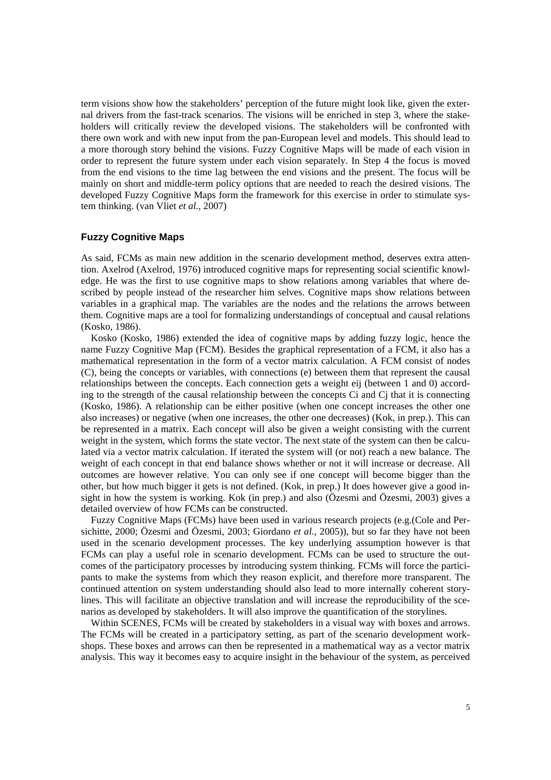term visions show how the stakeholders' perception of the future might look like, given the external drivers from the fast-track scenarios. The visions will be enriched in step 3, where the stakeholders will critically review the developed visions. The stakeholders will be confronted with there own work and with new input from the pan-European level and models. This should lead to a more thorough story behind the visions. Fuzzy Cognitive Maps will be made of each vision in order to represent the future system under each vision separately. In Step 4 the focus is moved from the end visions to the time lag between the end visions and the present. The focus will be mainly on short and middle-term policy options that are needed to reach the desired visions. The developed Fuzzy Cognitive Maps form the framework for this exercise in order to stimulate system thinking. (van Vliet *et al.*, 2007)

#### **Fuzzy Cognitive Maps**

As said, FCMs as main new addition in the scenario development method, deserves extra attention. Axelrod (Axelrod, 1976) introduced cognitive maps for representing social scientific knowledge. He was the first to use cognitive maps to show relations among variables that where described by people instead of the researcher him selves. Cognitive maps show relations between variables in a graphical map. The variables are the nodes and the relations the arrows between them. Cognitive maps are a tool for formalizing understandings of conceptual and causal relations (Kosko, 1986).

Kosko (Kosko, 1986) extended the idea of cognitive maps by adding fuzzy logic, hence the name Fuzzy Cognitive Map (FCM). Besides the graphical representation of a FCM, it also has a mathematical representation in the form of a vector matrix calculation. A FCM consist of nodes (C), being the concepts or variables, with connections (e) between them that represent the causal relationships between the concepts. Each connection gets a weight eij (between 1 and 0) according to the strength of the causal relationship between the concepts Ci and Cj that it is connecting (Kosko, 1986). A relationship can be either positive (when one concept increases the other one also increases) or negative (when one increases, the other one decreases) (Kok, in prep.). This can be represented in a matrix. Each concept will also be given a weight consisting with the current weight in the system, which forms the state vector. The next state of the system can then be calculated via a vector matrix calculation. If iterated the system will (or not) reach a new balance. The weight of each concept in that end balance shows whether or not it will increase or decrease. All outcomes are however relative. You can only see if one concept will become bigger than the other, but how much bigger it gets is not defined. (Kok, in prep.) It does however give a good insight in how the system is working. Kok (in prep.) and also (Özesmi and Özesmi, 2003) gives a detailed overview of how FCMs can be constructed.

Fuzzy Cognitive Maps (FCMs) have been used in various research projects (e.g.(Cole and Persichitte, 2000; Özesmi and Özesmi, 2003; Giordano *et al.*, 2005)), but so far they have not been used in the scenario development processes. The key underlying assumption however is that FCMs can play a useful role in scenario development. FCMs can be used to structure the outcomes of the participatory processes by introducing system thinking. FCMs will force the participants to make the systems from which they reason explicit, and therefore more transparent. The continued attention on system understanding should also lead to more internally coherent storylines. This will facilitate an objective translation and will increase the reproducibility of the scenarios as developed by stakeholders. It will also improve the quantification of the storylines.

Within SCENES, FCMs will be created by stakeholders in a visual way with boxes and arrows. The FCMs will be created in a participatory setting, as part of the scenario development workshops. These boxes and arrows can then be represented in a mathematical way as a vector matrix analysis. This way it becomes easy to acquire insight in the behaviour of the system, as perceived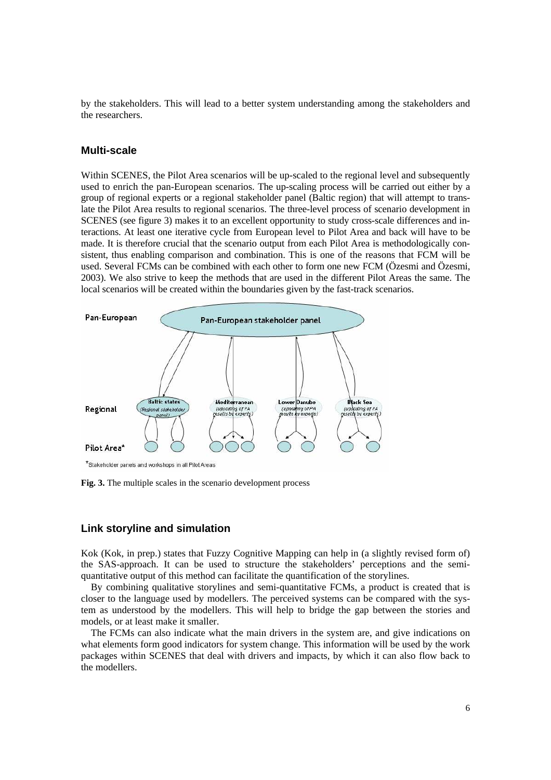by the stakeholders. This will lead to a better system understanding among the stakeholders and the researchers.

#### **Multi-scale**

Within SCENES, the Pilot Area scenarios will be up-scaled to the regional level and subsequently used to enrich the pan-European scenarios. The up-scaling process will be carried out either by a group of regional experts or a regional stakeholder panel (Baltic region) that will attempt to translate the Pilot Area results to regional scenarios. The three-level process of scenario development in SCENES (see figure 3) makes it to an excellent opportunity to study cross-scale differences and interactions. At least one iterative cycle from European level to Pilot Area and back will have to be made. It is therefore crucial that the scenario output from each Pilot Area is methodologically consistent, thus enabling comparison and combination. This is one of the reasons that FCM will be used. Several FCMs can be combined with each other to form one new FCM (Özesmi and Özesmi, 2003). We also strive to keep the methods that are used in the different Pilot Areas the same. The local scenarios will be created within the boundaries given by the fast-track scenarios.



\*Stakeholder panels and workshops in all Pilot Areas

**Fig. 3.** The multiple scales in the scenario development process

## **Link storyline and simulation**

Kok (Kok, in prep.) states that Fuzzy Cognitive Mapping can help in (a slightly revised form of) the SAS-approach. It can be used to structure the stakeholders' perceptions and the semiquantitative output of this method can facilitate the quantification of the storylines.

By combining qualitative storylines and semi-quantitative FCMs, a product is created that is closer to the language used by modellers. The perceived systems can be compared with the system as understood by the modellers. This will help to bridge the gap between the stories and models, or at least make it smaller.

The FCMs can also indicate what the main drivers in the system are, and give indications on what elements form good indicators for system change. This information will be used by the work packages within SCENES that deal with drivers and impacts, by which it can also flow back to the modellers.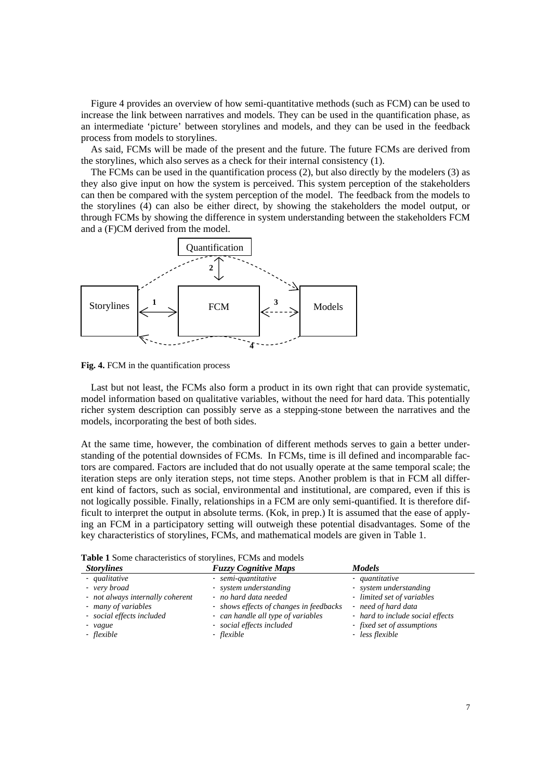Figure 4 provides an overview of how semi-quantitative methods (such as FCM) can be used to increase the link between narratives and models. They can be used in the quantification phase, as an intermediate 'picture' between storylines and models, and they can be used in the feedback process from models to storylines.

As said, FCMs will be made of the present and the future. The future FCMs are derived from the storylines, which also serves as a check for their internal consistency (1).

The FCMs can be used in the quantification process (2), but also directly by the modelers (3) as they also give input on how the system is perceived. This system perception of the stakeholders can then be compared with the system perception of the model. The feedback from the models to the storylines (4) can also be either direct, by showing the stakeholders the model output, or through FCMs by showing the difference in system understanding between the stakeholders FCM and a (F)CM derived from the model.



**Fig. 4.** FCM in the quantification process

Last but not least, the FCMs also form a product in its own right that can provide systematic, model information based on qualitative variables, without the need for hard data. This potentially richer system description can possibly serve as a stepping-stone between the narratives and the models, incorporating the best of both sides.

At the same time, however, the combination of different methods serves to gain a better understanding of the potential downsides of FCMs. In FCMs, time is ill defined and incomparable factors are compared. Factors are included that do not usually operate at the same temporal scale; the iteration steps are only iteration steps, not time steps. Another problem is that in FCM all different kind of factors, such as social, environmental and institutional, are compared, even if this is not logically possible. Finally, relationships in a FCM are only semi-quantified. It is therefore difficult to interpret the output in absolute terms. (Kok, in prep.) It is assumed that the ease of applying an FCM in a participatory setting will outweigh these potential disadvantages. Some of the key characteristics of storylines, FCMs, and mathematical models are given in Table 1.

| <b>Table 1</b> Bonic characteristics of story fines, I Civis and moders |                                         |                                  |  |
|-------------------------------------------------------------------------|-----------------------------------------|----------------------------------|--|
| <b>Storylines</b>                                                       | <b>Fuzzy Cognitive Maps</b>             | <b>Models</b>                    |  |
| - qualitative                                                           | - semi-quantitative                     | - quantitative                   |  |
| - very broad                                                            | - system understanding                  | - system understanding           |  |
| - not always internally coherent                                        | - no hard data needed                   | - limited set of variables       |  |
| - many of variables                                                     | - shows effects of changes in feedbacks | - need of hard data              |  |
| - social effects included                                               | - can handle all type of variables      | - hard to include social effects |  |
| - vague                                                                 | - social effects included               | - fixed set of assumptions       |  |
| - flexible                                                              | - flexible                              | - less flexible                  |  |
|                                                                         |                                         |                                  |  |

| Table 1 Some characteristics of storylines, FCMs and models |  |  |
|-------------------------------------------------------------|--|--|
|-------------------------------------------------------------|--|--|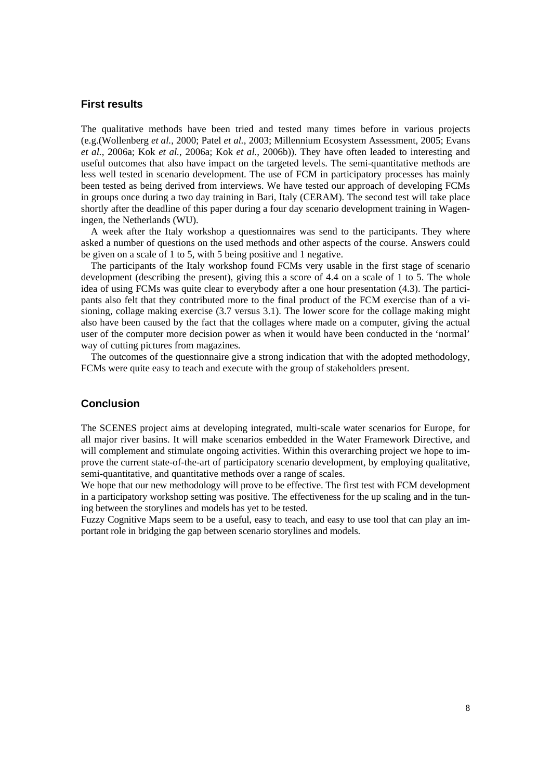#### **First results**

The qualitative methods have been tried and tested many times before in various projects (e.g.(Wollenberg *et al.*, 2000; Patel *et al.*, 2003; Millennium Ecosystem Assessment, 2005; Evans *et al.*, 2006a; Kok *et al.*, 2006a; Kok *et al.*, 2006b)). They have often leaded to interesting and useful outcomes that also have impact on the targeted levels. The semi-quantitative methods are less well tested in scenario development. The use of FCM in participatory processes has mainly been tested as being derived from interviews. We have tested our approach of developing FCMs in groups once during a two day training in Bari, Italy (CERAM). The second test will take place shortly after the deadline of this paper during a four day scenario development training in Wageningen, the Netherlands (WU).

A week after the Italy workshop a questionnaires was send to the participants. They where asked a number of questions on the used methods and other aspects of the course. Answers could be given on a scale of 1 to 5, with 5 being positive and 1 negative.

The participants of the Italy workshop found FCMs very usable in the first stage of scenario development (describing the present), giving this a score of 4.4 on a scale of 1 to 5. The whole idea of using FCMs was quite clear to everybody after a one hour presentation (4.3). The participants also felt that they contributed more to the final product of the FCM exercise than of a visioning, collage making exercise (3.7 versus 3.1). The lower score for the collage making might also have been caused by the fact that the collages where made on a computer, giving the actual user of the computer more decision power as when it would have been conducted in the 'normal' way of cutting pictures from magazines.

The outcomes of the questionnaire give a strong indication that with the adopted methodology, FCMs were quite easy to teach and execute with the group of stakeholders present.

#### **Conclusion**

The SCENES project aims at developing integrated, multi-scale water scenarios for Europe, for all major river basins. It will make scenarios embedded in the Water Framework Directive, and will complement and stimulate ongoing activities. Within this overarching project we hope to improve the current state-of-the-art of participatory scenario development, by employing qualitative, semi-quantitative, and quantitative methods over a range of scales.

We hope that our new methodology will prove to be effective. The first test with FCM development in a participatory workshop setting was positive. The effectiveness for the up scaling and in the tuning between the storylines and models has yet to be tested.

Fuzzy Cognitive Maps seem to be a useful, easy to teach, and easy to use tool that can play an important role in bridging the gap between scenario storylines and models.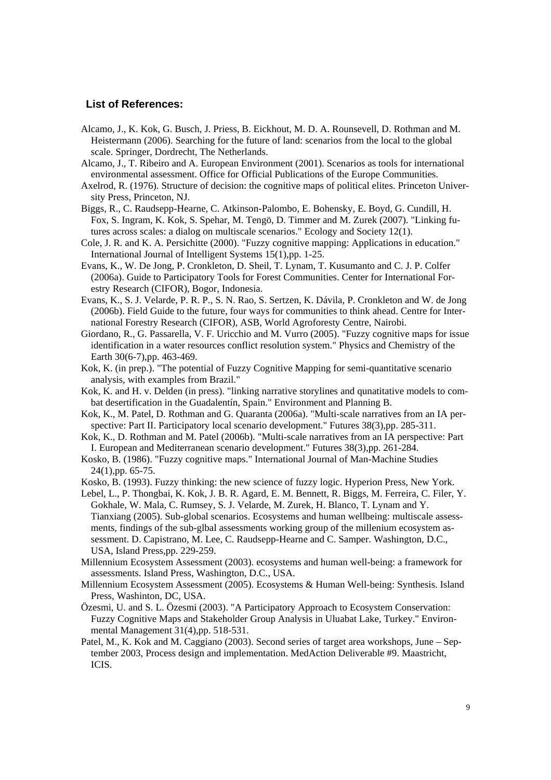#### **List of References:**

- Alcamo, J., K. Kok, G. Busch, J. Priess, B. Eickhout, M. D. A. Rounsevell, D. Rothman and M. Heistermann (2006). Searching for the future of land: scenarios from the local to the global scale. Springer, Dordrecht, The Netherlands.
- Alcamo, J., T. Ribeiro and A. European Environment (2001). Scenarios as tools for international environmental assessment. Office for Official Publications of the Europe Communities.
- Axelrod, R. (1976). Structure of decision: the cognitive maps of political elites. Princeton University Press, Princeton, NJ.
- Biggs, R., C. Raudsepp-Hearne, C. Atkinson-Palombo, E. Bohensky, E. Boyd, G. Cundill, H. Fox, S. Ingram, K. Kok, S. Spehar, M. Tengö, D. Timmer and M. Zurek (2007). "Linking futures across scales: a dialog on multiscale scenarios." Ecology and Society 12(1).
- Cole, J. R. and K. A. Persichitte (2000). "Fuzzy cognitive mapping: Applications in education." International Journal of Intelligent Systems 15(1),pp. 1-25.
- Evans, K., W. De Jong, P. Cronkleton, D. Sheil, T. Lynam, T. Kusumanto and C. J. P. Colfer (2006a). Guide to Participatory Tools for Forest Communities. Center for International Forestry Research (CIFOR), Bogor, Indonesia.
- Evans, K., S. J. Velarde, P. R. P., S. N. Rao, S. Sertzen, K. Dávila, P. Cronkleton and W. de Jong (2006b). Field Guide to the future, four ways for communities to think ahead. Centre for International Forestry Research (CIFOR), ASB, World Agroforesty Centre, Nairobi.
- Giordano, R., G. Passarella, V. F. Uricchio and M. Vurro (2005). "Fuzzy cognitive maps for issue identification in a water resources conflict resolution system." Physics and Chemistry of the Earth 30(6-7),pp. 463-469.
- Kok, K. (in prep.). "The potential of Fuzzy Cognitive Mapping for semi-quantitative scenario analysis, with examples from Brazil."
- Kok, K. and H. v. Delden (in press). "linking narrative storylines and qunatitative models to combat desertification in the Guadalentín, Spain." Environment and Planning B.
- Kok, K., M. Patel, D. Rothman and G. Quaranta (2006a). "Multi-scale narratives from an IA perspective: Part II. Participatory local scenario development." Futures 38(3),pp. 285-311.
- Kok, K., D. Rothman and M. Patel (2006b). "Multi-scale narratives from an IA perspective: Part I. European and Mediterranean scenario development." Futures 38(3),pp. 261-284.
- Kosko, B. (1986). "Fuzzy cognitive maps." International Journal of Man-Machine Studies 24(1),pp. 65-75.
- Kosko, B. (1993). Fuzzy thinking: the new science of fuzzy logic. Hyperion Press, New York.
- Lebel, L., P. Thongbai, K. Kok, J. B. R. Agard, E. M. Bennett, R. Biggs, M. Ferreira, C. Filer, Y. Gokhale, W. Mala, C. Rumsey, S. J. Velarde, M. Zurek, H. Blanco, T. Lynam and Y. Tianxiang (2005). Sub-global scenarios. Ecosystems and human wellbeing: multiscale assessments, findings of the sub-glbal assessments working group of the millenium ecosystem assessment. D. Capistrano, M. Lee, C. Raudsepp-Hearne and C. Samper. Washington, D.C., USA, Island Press,pp. 229-259.
- Millennium Ecosystem Assessment (2003). ecosystems and human well-being: a framework for assessments. Island Press, Washington, D.C., USA.
- Millennium Ecosystem Assessment (2005). Ecosystems & Human Well-being: Synthesis. Island Press, Washinton, DC, USA.
- Özesmi, U. and S. L. Özesmi (2003). "A Participatory Approach to Ecosystem Conservation: Fuzzy Cognitive Maps and Stakeholder Group Analysis in Uluabat Lake, Turkey." Environmental Management 31(4),pp. 518-531.
- Patel, M., K. Kok and M. Caggiano (2003). Second series of target area workshops, June September 2003, Process design and implementation. MedAction Deliverable #9. Maastricht, ICIS.